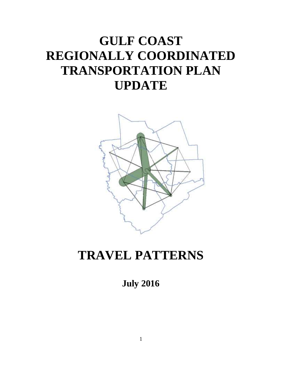# **GULF COAST REGIONALLY COORDINATED TRANSPORTATION PLAN UPDATE**



# **TRAVEL PATTERNS**

**July 2016**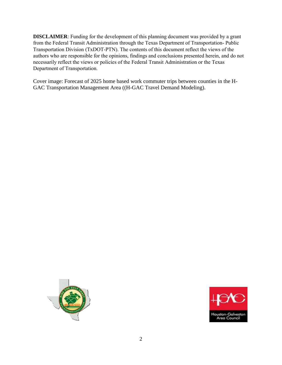**DISCLAIMER: Funding for the development of this planning document was provided by a grant from the Federal Transit Administration through the Texas Department of Transportation- Public Transportation Division (TxDOT-PTN). The contents of this document reflect the views of the authors who are responsible for the opinions, findings and conclusions presented herein, and do not necessarily reflect the views or policies of the Federal Transit Administration or the Texas Department of Transportation.** 

Cover image: Forecast of 2025 home based work commuter trips between counties in the H-GAC Transportation Management Area ((H-GAC Travel Demand Modeling).



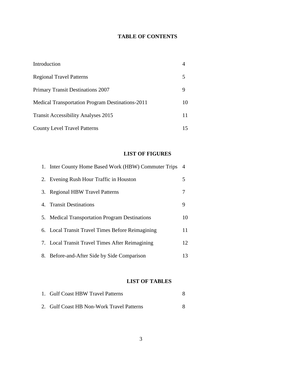# **TABLE OF CONTENTS**

| Introduction                                     |    |
|--------------------------------------------------|----|
| <b>Regional Travel Patterns</b>                  |    |
| <b>Primary Transit Destinations 2007</b>         | 9  |
| Medical Transportation Program Destinations-2011 | 10 |
| <b>Transit Accessibility Analyses 2015</b>       | 11 |
| <b>County Level Travel Patterns</b>              | 15 |

# **LIST OF FIGURES**

| 1. Inter County Home Based Work (HBW) Commuter Trips | $\overline{4}$ |
|------------------------------------------------------|----------------|
| 2. Evening Rush Hour Traffic in Houston              | 5              |
| 3. Regional HBW Travel Patterns                      | 7              |
| 4. Transit Destinations                              | 9              |
| 5. Medical Transportation Program Destinations       | 10             |
| 6. Local Transit Travel Times Before Reimagining     | 11             |
| 7. Local Transit Travel Times After Reimagining      | 12             |
| 8. Before-and-After Side by Side Comparison          | 13             |

# **LIST OF TABLES**

| 1. Gulf Coast HBW Travel Patterns         |  |
|-------------------------------------------|--|
| 2. Gulf Coast HB Non-Work Travel Patterns |  |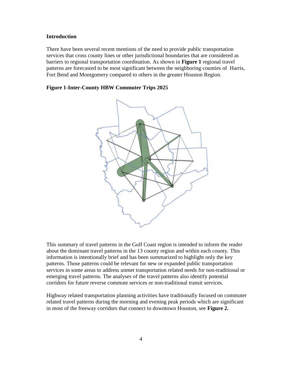## **Introduction**

There have been several recent mentions of the need to provide public transportation services that cross county lines or other jurisdictional boundaries that are considered as barriers to regional transportation coordination. As shown in **Figure 1** regional travel patterns are forecasted to be most significant between the neighboring counties of Harris, Fort Bend and Montgomery compared to others in the greater Houston Region.

## **Figure 1-Inter-County HBW Commuter Trips 2025**



This summary of travel patterns in the Gulf Coast region is intended to inform the reader about the dominant travel patterns in the 13 county region and within each county. This information is intentionally brief and has been summarized to highlight only the key patterns. Those patterns could be relevant for new or expanded public transportation services in some areas to address unmet transportation related needs for non-traditional or emerging travel patterns. The analyses of the travel patterns also identify potential corridors for future reverse commute services or non-traditional transit services.

Highway related transportation planning activities have traditionally focused on commuter related travel patterns during the morning and evening peak periods which are significant in most of the freeway corridors that connect to downtown Houston, see **Figure 2.**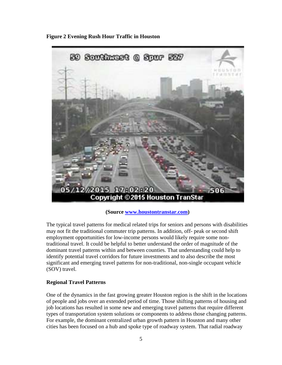**Figure 2 Evening Rush Hour Traffic in Houston**



**(Source [www.houstontranstar.com\)](http://www.houstontranstar.com/)** 

The typical travel patterns for medical related trips for seniors and persons with disabilities may not fit the traditional commuter trip patterns. In addition, off- peak or second shift employment opportunities for low-income persons would likely require some nontraditional travel. It could be helpful to better understand the order of magnitude of the dominant travel patterns within and between counties. That understanding could help to identify potential travel corridors for future investments and to also describe the most significant and emerging travel patterns for non-traditional, non-single occupant vehicle (SOV) travel.

## **Regional Travel Patterns**

One of the dynamics in the fast growing greater Houston region is the shift in the locations of people and jobs over an extended period of time. Those shifting patterns of housing and job locations has resulted in some new and emerging travel patterns that require different types of transportation system solutions or components to address those changing patterns. For example, the dominant centralized urban growth pattern in Houston and many other cities has been focused on a hub and spoke type of roadway system. That radial roadway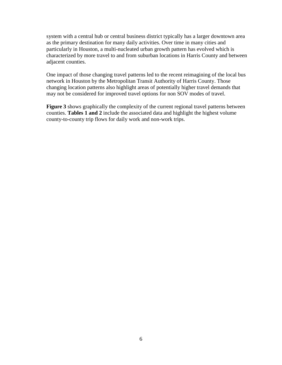system with a central hub or central business district typically has a larger downtown area as the primary destination for many daily activities. Over time in many cities and particularly in Houston, a multi-nucleated urban growth pattern has evolved which is characterized by more travel to and from suburban locations in Harris County and between adjacent counties.

One impact of those changing travel patterns led to the recent reimagining of the local bus network in Houston by the Metropolitan Transit Authority of Harris County. Those changing location patterns also highlight areas of potentially higher travel demands that may not be considered for improved travel options for non SOV modes of travel.

**Figure 3** shows graphically the complexity of the current regional travel patterns between counties. **Tables 1 and 2** include the associated data and highlight the highest volume county-to-county trip flows for daily work and non-work trips.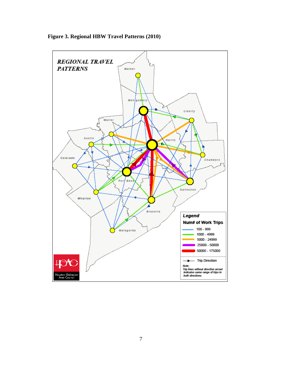

**Figure 3. Regional HBW Travel Patterns (2010)**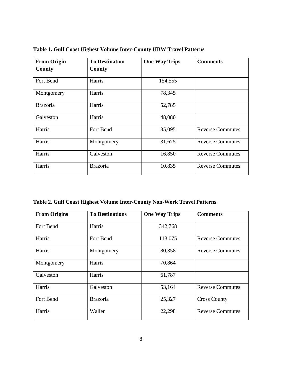| <b>From Origin</b> | <b>To Destination</b> | <b>One Way Trips</b> | <b>Comments</b>         |
|--------------------|-----------------------|----------------------|-------------------------|
| County             | County                |                      |                         |
| Fort Bend          | Harris                | 154,555              |                         |
| Montgomery         | Harris                | 78,345               |                         |
| <b>Brazoria</b>    | Harris                | 52,785               |                         |
| Galveston          | Harris                | 48,080               |                         |
| Harris             | Fort Bend             | 35,095               | <b>Reverse Commutes</b> |
| Harris             | Montgomery            | 31,675               | <b>Reverse Commutes</b> |
| Harris             | Galveston             | 16,850               | <b>Reverse Commutes</b> |
| Harris             | <b>Brazoria</b>       | 10.835               | <b>Reverse Commutes</b> |

**Table 1. Gulf Coast Highest Volume Inter-County HBW Travel Patterns**

|  |  |  |  |  | Table 2. Gulf Coast Highest Volume Inter-County Non-Work Travel Patterns |
|--|--|--|--|--|--------------------------------------------------------------------------|
|  |  |  |  |  |                                                                          |

| <b>From Origins</b> | <b>To Destinations</b> | <b>One Way Trips</b> | <b>Comments</b>         |
|---------------------|------------------------|----------------------|-------------------------|
| Fort Bend           | Harris                 | 342,768              |                         |
| Harris              | Fort Bend              | 113,075              | <b>Reverse Commutes</b> |
| Harris              | Montgomery             | 80,358               | <b>Reverse Commutes</b> |
| Montgomery          | Harris                 | 70,864               |                         |
| Galveston           | Harris                 | 61,787               |                         |
| Harris              | Galveston              | 53,164               | <b>Reverse Commutes</b> |
| Fort Bend           | <b>Brazoria</b>        | 25,327               | <b>Cross County</b>     |
| Harris              | Waller                 | 22,298               | <b>Reverse Commutes</b> |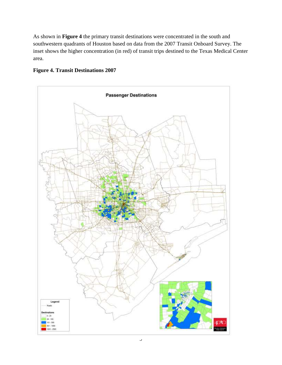As shown in **Figure 4** the primary transit destinations were concentrated in the south and southwestern quadrants of Houston based on data from the 2007 Transit Onboard Survey. The inset shows the higher concentration (in red) of transit trips destined to the Texas Medical Center area.



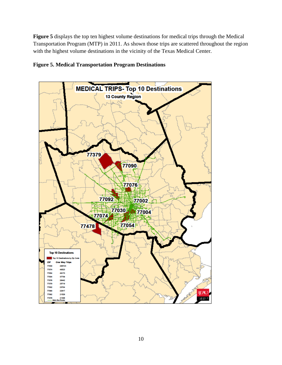**Figure 5** displays the top ten highest volume destinations for medical trips through the Medical Transportation Program (MTP) in 2011. As shown those trips are scattered throughout the region with the highest volume destinations in the vicinity of the Texas Medical Center.



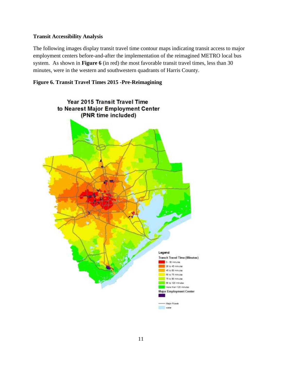## **Transit Accessibility Analysis**

The following images display transit travel time contour maps indicating transit access to major employment centers before-and-after the implementation of the reimagined METRO local bus system. As shown in **Figure 6** (in red) the most favorable transit travel times, less than 30 minutes, were in the western and southwestern quadrants of Harris County.

## **Figure 6. Transit Travel Times 2015 -Pre-Reimagining**

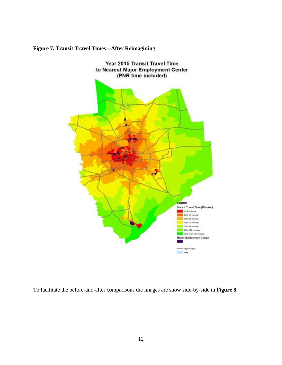

## **Figure 7. Transit Travel Times --After Reimagining**

To facilitate the before-and-after comparisons the images are show side-by-side in **Figure 8.**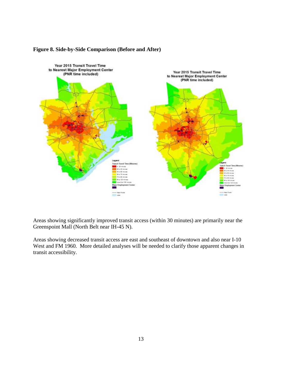

## **Figure 8. Side-by-Side Comparison (Before and After)**

Areas showing significantly improved transit access (within 30 minutes) are primarily near the Greenspoint Mall (North Belt near IH-45 N).

Areas showing decreased transit access are east and southeast of downtown and also near I-10 West and FM 1960. More detailed analyses will be needed to clarify those apparent changes in transit accessibility.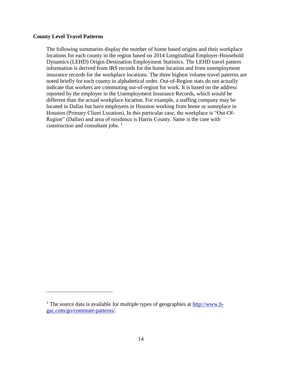## **County Level Travel Patterns**

 $\overline{a}$ 

The following summaries display the number of home based origins and their workplace locations for each county in the region based on 2014 Longitudinal Employer-Household Dynamics (LEHD) Origin-Destination Employment Statistics. The LEHD travel pattern information is derived from IRS records for the home location and from unemployment insurance records for the workplace locations. The three highest volume travel patterns are noted briefly for each county in alphabetical order. Out-of-Region stats do not actually indicate that workers are commuting out-of-region for work. It is based on the address reported by the employer in the Unemployment Insurance Records, which would be different than the actual workplace location. For example, a staffing company may be located in Dallas but have employees in Houston working from home or someplace in Houston (Primary Client Location). In this particular case, the workplace is "Out-Of-Region" (Dallas) and area of residence is Harris County. Same is the case with construction and consultant jobs.  $\frac{1}{1}$ 

<sup>&</sup>lt;sup>1</sup> The source data is available for multiple types of geographies at  $\frac{http://www.h-1}{http://www.h-1}$ [gac.com/go/commute-patterns/.](http://www.h-gac.com/go/commute-patterns/)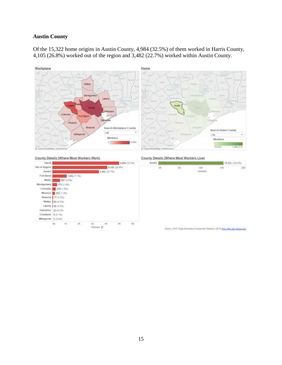## **Austin County**

Of the 15,322 home origins in Austin County, 4,984 (32.5%) of them worked in Harris County, 4,105 (26.8%) worked out of the region and 3,482 (22.7%) worked within Austin County.



#### County Details (Where Most Workers Work)



#### County Details (Where Most Workers Live)

| Austin<br>. |            |        |         | 15,322 (100.0%)<br>---- |  |
|-------------|------------|--------|---------|-------------------------|--|
|             | <b>SIR</b> | ъ.     | íШ      | 156                     |  |
|             | 5722       | 1920 I | Workers | 1225                    |  |

Source: LEHD Origin Destination Employment Statistics (2014) http://whit.ces.census.gov/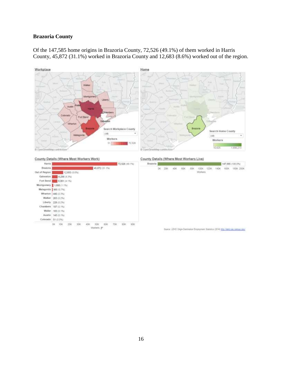## **Brazoria County**





## County Details (Where Most Workers Work)

| 1205118              |               |               |         |             |                 | 4,320.192.10 |  |
|----------------------|---------------|---------------|---------|-------------|-----------------|--------------|--|
| Brazonia.            |               |               |         |             | 45, 872 (31.1%) |              |  |
| Out of Region        |               | 12.683 (6.6%) |         |             |                 |              |  |
| Galveston            |               | 5,296 (4.3%)  |         |             |                 |              |  |
| Fort Bend            |               | 6.061 (4.1%). |         |             |                 |              |  |
| Montgomery           | 1,666 (1.1%). |               |         |             |                 |              |  |
| Matagorda 365 (0.7%) |               |               |         |             |                 |              |  |
| Wharton              | 449 (0.3%)    |               |         |             |                 |              |  |
| Walker               | 263 (0.2%)    |               |         |             |                 |              |  |
| Liberty              | 228 (0.2%)    |               |         |             |                 |              |  |
| Chambers             | 197 (0.1%)    |               |         |             |                 |              |  |
| Waller               | 153 (0.1%)    |               |         |             |                 |              |  |
| Austin               | 143 (0.1%)    |               |         |             |                 |              |  |
| Colorado             | 51 (0.0%)     |               |         |             |                 |              |  |
|                      | 10K<br>DH.    | - 15<br>ZIК   | w<br>XЖ | <b>AZDK</b> | BQK.            | m<br>BOK     |  |
|                      |               |               |         | Workers =   |                 |              |  |

## County Details (Where Most Workers Live)

|     |        |               | 147,555-1100.0%) |  |                                                          |  |              |           |
|-----|--------|---------------|------------------|--|----------------------------------------------------------|--|--------------|-----------|
| - 7 | verske | <b>ADK IN</b> | 0.1005           |  | 60K 80K 100K 120K 140K<br><b><i><u>ARCHITECT</u></i></b> |  | 160K<br>-500 | 150K 200K |

Source: LEHD Drigin-Destination Engineerest Statistics (3014) http://land.cas.centrus.gov/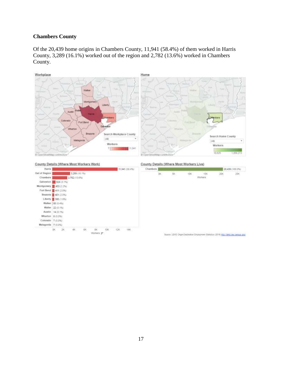# **Chambers County**

Of the 20,439 home origins in Chambers County, 11,941 (58.4%) of them worked in Harris County, 3,289 (16.1%) worked out of the region and 2,782 (13.6%) worked in Chambers County.



## County Details (Where Most Workers Work)



### County Details (Where Most Workers Live)

|                  |       | 20,439 (100.0%) |                             |     |     |
|------------------|-------|-----------------|-----------------------------|-----|-----|
| w<br><b>HUNG</b> | 55.00 | 2200            | ╌<br><b>CAN DESCRIPTION</b> | -17 | 25< |
|                  |       |                 |                             |     |     |

Boarce: LEHO Drips-Destination Entstoyment Statistics (2014) http://send.ces.camus.com/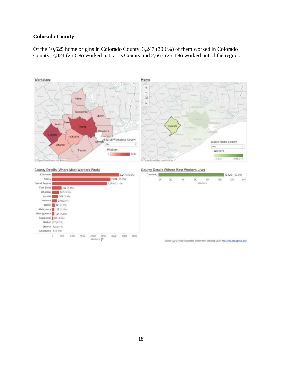# **Colorado County**

Of the 10,625 home origins in Colorado County, 3,247 (30.6%) of them worked in Colorado County, 2,824 (26.6%) worked in Harris County and 2,663 (25.1%) worked out of the region.



County Details (Where Most Workers Work)



County Details (Where Most Workers Live)

| $-3,247(30.6\%)$            | COIDENDO |   |                             |   | 19.625 (199.9%) |                        |       |     |     |
|-----------------------------|----------|---|-----------------------------|---|-----------------|------------------------|-------|-----|-----|
| (26.6%)<br>5.1%)            |          | Ķ | $\frac{1}{2} \mathcal{R}_1$ | 琳 | 6K.             | $$\,88$$ . We<br>check | $10K$ | 12K | 14K |
|                             |          |   |                             |   |                 |                        |       |     |     |
|                             |          |   |                             |   |                 |                        |       |     |     |
|                             |          |   |                             |   |                 |                        |       |     |     |
|                             |          |   |                             |   |                 |                        |       |     |     |
| - AVANYA<br><b>GUT PATE</b> |          |   |                             |   |                 |                        |       |     |     |

Source: LEHD Orgin-Destination Employment Statistics (2014) http://whol.ces.census.gov/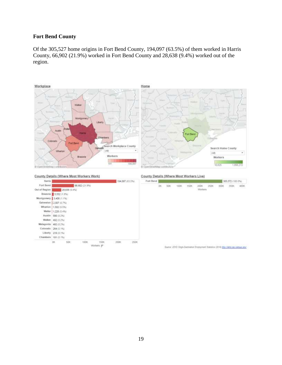## **Fort Bend County**

Of the 305,527 home origins in Fort Bend County, 194,097 (63.5%) of them worked in Harris County, 66,902 (21.9%) worked in Fort Bend County and 28,638 (9.4%) worked out of the region.



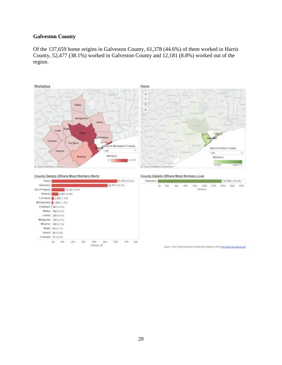## **Galveston County**

Of the 137,659 home origins in Galveston County, 61,378 (44.6%) of them worked in Harris County, 52,477 (38.1%) worked in Galveston County and 12,181 (8.8%) worked out of the region.



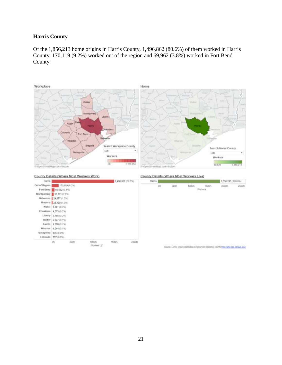## **Harris County**

Of the 1,856,213 home origins in Harris County, 1,496,862 (80.6%) of them worked in Harris County, 170,119 (9.2%) worked out of the region and 69,962 (3.8%) worked in Fort Bend County.



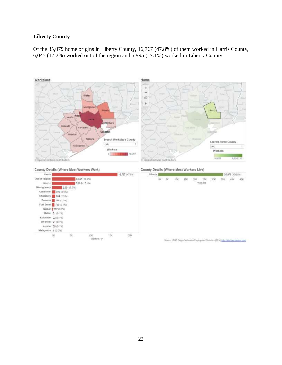## **Liberty County**

Of the 35,079 home origins in Liberty County, 16,767 (47.8%) of them worked in Harris County, 6,047 (17.2%) worked out of the region and 5,995 (17.1%) worked in Liberty County.



County Details (Where Most Workers Work)



County Details (Where Most Workers Live)

| 5,767 (47.8%)      | <b>Liberty</b> | 35,079 (100.0%) |        |        |     |                                                                                       |                  |             |     |     |     |
|--------------------|----------------|-----------------|--------|--------|-----|---------------------------------------------------------------------------------------|------------------|-------------|-----|-----|-----|
|                    |                | DC<br>mar.      | 钚<br>- | $10\%$ | 15K | 206.1                                                                                 | 25%<br>Vitariora | 3GK<br>an i | 35K | 40K | 45K |
|                    |                |                 |        |        |     |                                                                                       |                  |             |     |     |     |
|                    |                |                 |        |        |     |                                                                                       |                  |             |     |     |     |
|                    |                |                 |        |        |     |                                                                                       |                  |             |     |     |     |
| 209<br><b>CAST</b> |                |                 |        |        |     |                                                                                       |                  |             |     |     |     |
|                    |                |                 |        |        |     | Source: LEHD Orge-Destinator Employment Statistics (2014) http://send.ces.camsus.gov/ |                  |             |     |     |     |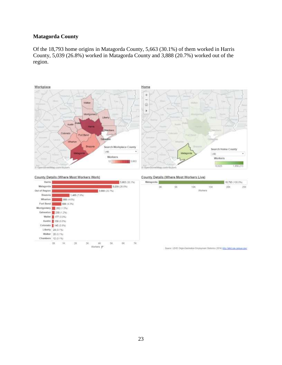# **Matagorda County**

Of the 18,793 home origins in Matagorda County, 5,663 (30.1%) of them worked in Harris County, 5,039 (26.8%) worked in Matagorda County and 3,888 (20.7%) worked out of the region.



## County Details (Where Most Workers Work)



## County Details (Where Most Workers Live)

| Matagorda |       |      |       |         | 18,793 (100.0%) |  |
|-----------|-------|------|-------|---------|-----------------|--|
|           |       |      | -1509 | ≈<br>50 |                 |  |
|           | 55557 | 5751 | ---   | ਾ       |                 |  |
|           |       |      |       |         |                 |  |
|           |       |      |       |         |                 |  |
|           |       |      |       |         |                 |  |

Source: LEHD Origin-Destination Employment Statistics (2014) http://whitf.com.comain.2000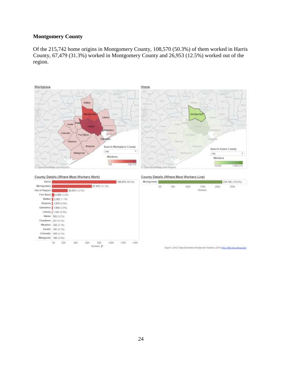# **Montgomery County**

Of the 215,742 home origins in Montgomery County, 108,570 (50.3%) of them worked in Harris County, 67,479 (31.3%) worked in Montgomery County and 26,953 (12.5%) worked out of the region.



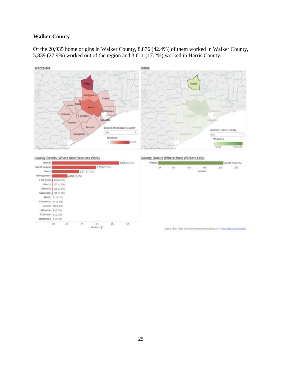## **Walker County**

Of the 20,935 home origins in Walker County, 8,876 (42.4%) of them worked in Walker County, 5,839 (27.9%) worked out of the region and 3,611 (17.2%) worked in Harris County.



#### County Details (Where Most Workers Work)

| <b>WEIGHALLY</b>  |                        |               |                  |               | 0.010142.000 |
|-------------------|------------------------|---------------|------------------|---------------|--------------|
| Out of Region     |                        |               |                  | 5,839 (27.9%) |              |
| Hamis             |                        | 3.611 (17.2%) |                  |               |              |
| <b>Montgomery</b> |                        | 2,063 (9.9%)  |                  |               |              |
|                   | Fort Bend   139 (0.7%) |               |                  |               |              |
|                   | Liberty   127 (0.0%)   |               |                  |               |              |
|                   | Brazoria   109 (0.5%)  |               |                  |               |              |
|                   | Galveston   100 (0.5%) |               |                  |               |              |
| Waller.           | 31 (0.1%)              |               |                  |               |              |
| Chambers          | 11.03.1%)              |               |                  |               |              |
| <b>Austin</b>     | 10 (0.0%)              |               |                  |               |              |
| <b>Wharton</b>    | 9-10.0%)               |               |                  |               |              |
| Colonido          | 5-10-0%                |               |                  |               |              |
| Matagorda         | $5(0.0\%)$             |               |                  |               |              |
|                   | OK                     | 48.           | BK.<br>Workers # |               | <b>tDK</b>   |

### County Details (Where Most Workers Live)

| Walker |    |         | 20.935 / 100.0%) |  |  |
|--------|----|---------|------------------|--|--|
|        | zы | 15K     | zи               |  |  |
|        |    | Workers |                  |  |  |

Sturtie: LEHD Origin-Destination Employment Statistics (2014) After (Tend.ces.census.gov/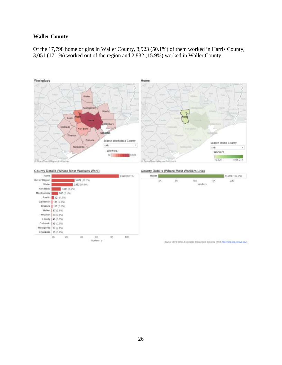## **Waller County**

Of the 17,798 home origins in Waller County, 8,923 (50.1%) of them worked in Harris County, 3,051 (17.1%) worked out of the region and 2,832 (15.9%) worked in Waller County.







County Details (Where Most Workers Live)

| <b>CONTRACT</b> |     |   | 17,798 (100.0%) |   |      |
|-----------------|-----|---|-----------------|---|------|
|                 | DK. | 葱 |                 | 燃 | 206  |
|                 |     |   | Worters         |   | 3000 |
|                 |     |   |                 |   |      |
|                 |     |   |                 |   |      |
|                 |     |   |                 |   |      |

Source: LEHD Origin-Destination Employment Statistics (2014) http://whol.com.com.us.com/